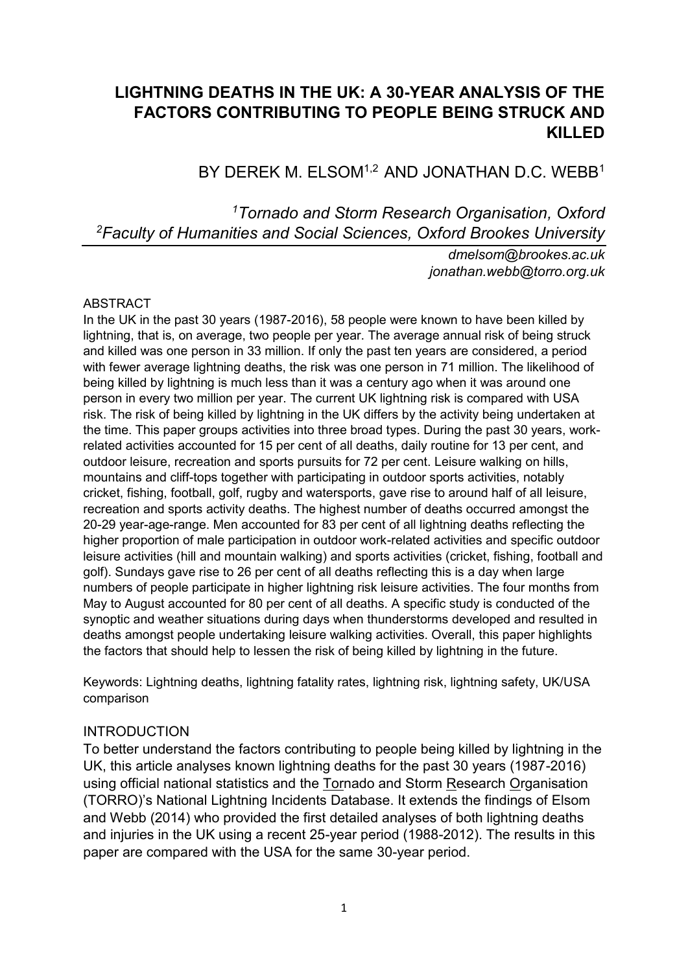# **LIGHTNING DEATHS IN THE UK: A 30-YEAR ANALYSIS OF THE FACTORS CONTRIBUTING TO PEOPLE BEING STRUCK AND KILLED**

# BY DEREK M. ELSOM<sup>1,2</sup> AND JONATHAN D.C. WEBB<sup>1</sup>

*<sup>1</sup>Tornado and Storm Research Organisation, Oxford <sup>2</sup>Faculty of Humanities and Social Sciences, Oxford Brookes University*

> *[dmelsom@brookes.ac.uk](mailto:dmelsom@brookes.ac.uk) jonathan.webb@torro.org.uk*

#### ABSTRACT

In the UK in the past 30 years (1987-2016), 58 people were known to have been killed by lightning, that is, on average, two people per year. The average annual risk of being struck and killed was one person in 33 million. If only the past ten years are considered, a period with fewer average lightning deaths, the risk was one person in 71 million. The likelihood of being killed by lightning is much less than it was a century ago when it was around one person in every two million per year. The current UK lightning risk is compared with USA risk. The risk of being killed by lightning in the UK differs by the activity being undertaken at the time. This paper groups activities into three broad types. During the past 30 years, workrelated activities accounted for 15 per cent of all deaths, daily routine for 13 per cent, and outdoor leisure, recreation and sports pursuits for 72 per cent. Leisure walking on hills, mountains and cliff-tops together with participating in outdoor sports activities, notably cricket, fishing, football, golf, rugby and watersports, gave rise to around half of all leisure, recreation and sports activity deaths. The highest number of deaths occurred amongst the 20-29 year-age-range. Men accounted for 83 per cent of all lightning deaths reflecting the higher proportion of male participation in outdoor work-related activities and specific outdoor leisure activities (hill and mountain walking) and sports activities (cricket, fishing, football and golf). Sundays gave rise to 26 per cent of all deaths reflecting this is a day when large numbers of people participate in higher lightning risk leisure activities. The four months from May to August accounted for 80 per cent of all deaths. A specific study is conducted of the synoptic and weather situations during days when thunderstorms developed and resulted in deaths amongst people undertaking leisure walking activities. Overall, this paper highlights the factors that should help to lessen the risk of being killed by lightning in the future.

Keywords: Lightning deaths, lightning fatality rates, lightning risk, lightning safety, UK/USA comparison

#### **INTRODUCTION**

To better understand the factors contributing to people being killed by lightning in the UK, this article analyses known lightning deaths for the past 30 years (1987-2016) using official national statistics and the Tornado and Storm Research Organisation (TORRO)'s National Lightning Incidents Database. It extends the findings of Elsom and Webb (2014) who provided the first detailed analyses of both lightning deaths and injuries in the UK using a recent 25-year period (1988-2012). The results in this paper are compared with the USA for the same 30-year period.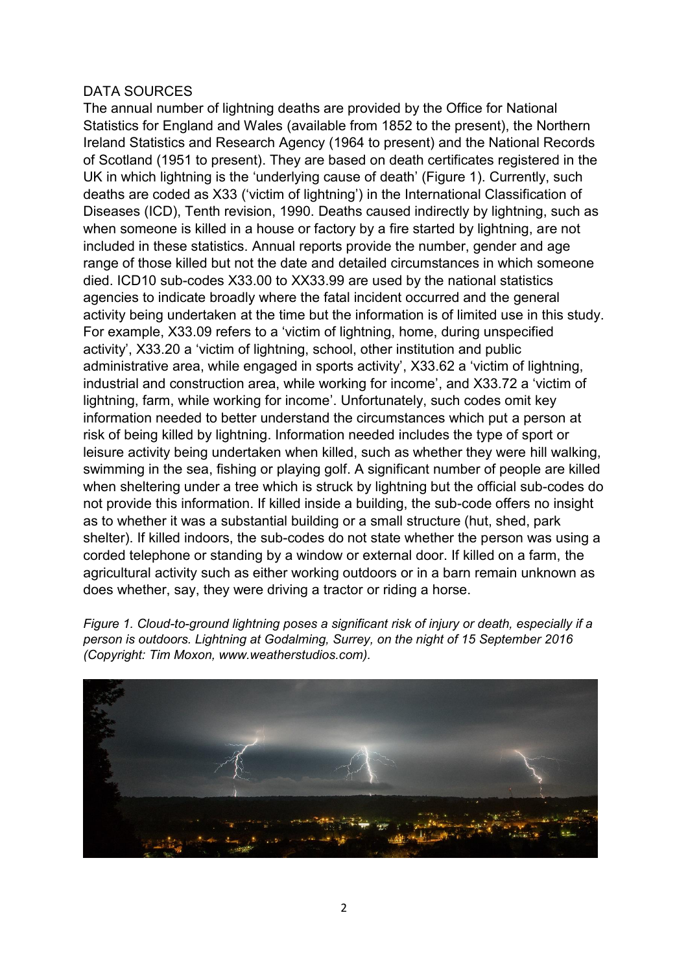#### DATA SOURCES

The annual number of lightning deaths are provided by the Office for National Statistics for England and Wales (available from 1852 to the present), the Northern Ireland Statistics and Research Agency (1964 to present) and the National Records of Scotland (1951 to present). They are based on death certificates registered in the UK in which lightning is the 'underlying cause of death' (Figure 1). Currently, such deaths are coded as X33 ('victim of lightning') in the International Classification of Diseases (ICD), Tenth revision, 1990. Deaths caused indirectly by lightning, such as when someone is killed in a house or factory by a fire started by lightning, are not included in these statistics. Annual reports provide the number, gender and age range of those killed but not the date and detailed circumstances in which someone died. ICD10 sub-codes X33.00 to XX33.99 are used by the national statistics agencies to indicate broadly where the fatal incident occurred and the general activity being undertaken at the time but the information is of limited use in this study. For example, X33.09 refers to a 'victim of lightning, home, during unspecified activity', X33.20 a 'victim of lightning, school, other institution and public administrative area, while engaged in sports activity', X33.62 a 'victim of lightning, industrial and construction area, while working for income', and X33.72 a 'victim of lightning, farm, while working for income'. Unfortunately, such codes omit key information needed to better understand the circumstances which put a person at risk of being killed by lightning. Information needed includes the type of sport or leisure activity being undertaken when killed, such as whether they were hill walking, swimming in the sea, fishing or playing golf. A significant number of people are killed when sheltering under a tree which is struck by lightning but the official sub-codes do not provide this information. If killed inside a building, the sub-code offers no insight as to whether it was a substantial building or a small structure (hut, shed, park shelter). If killed indoors, the sub-codes do not state whether the person was using a corded telephone or standing by a window or external door. If killed on a farm, the agricultural activity such as either working outdoors or in a barn remain unknown as does whether, say, they were driving a tractor or riding a horse.

*Figure 1. Cloud-to-ground lightning poses a significant risk of injury or death, especially if a person is outdoors. Lightning at Godalming, Surrey, on the night of 15 September 2016 (Copyright: Tim Moxon, [www.weatherstudios.com\)](http://www.weatherstudios.com/).*

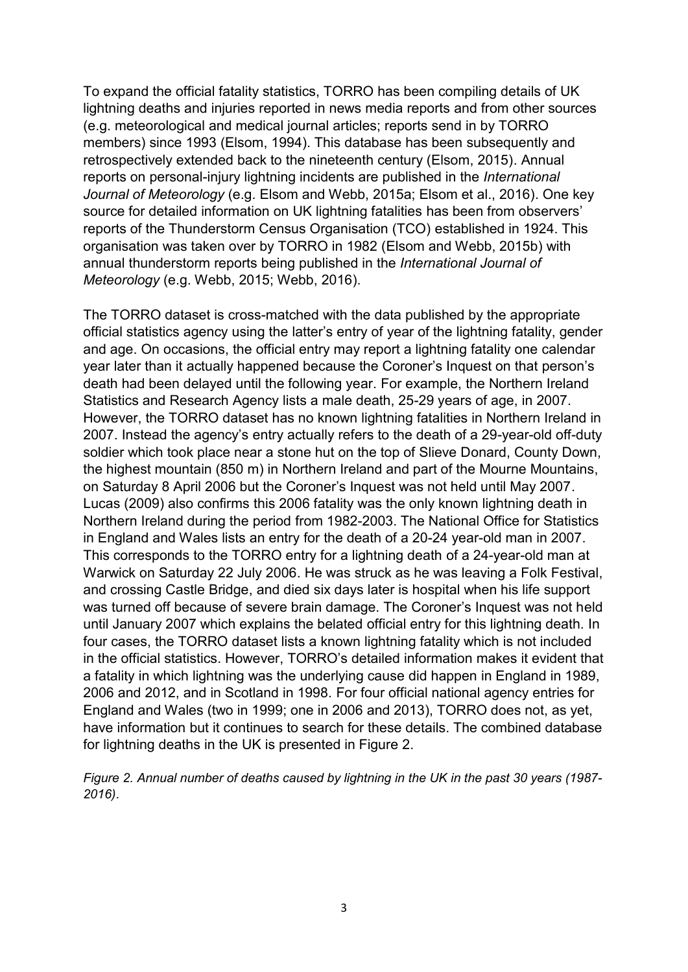To expand the official fatality statistics, TORRO has been compiling details of UK lightning deaths and injuries reported in news media reports and from other sources (e.g. meteorological and medical journal articles; reports send in by TORRO members) since 1993 (Elsom, 1994). This database has been subsequently and retrospectively extended back to the nineteenth century (Elsom, 2015). Annual reports on personal-injury lightning incidents are published in the *International Journal of Meteorology* (e.g. Elsom and Webb, 2015a; Elsom et al., 2016). One key source for detailed information on UK lightning fatalities has been from observers' reports of the Thunderstorm Census Organisation (TCO) established in 1924. This organisation was taken over by TORRO in 1982 (Elsom and Webb, 2015b) with annual thunderstorm reports being published in the *International Journal of Meteorology* (e.g. Webb, 2015; Webb, 2016).

The TORRO dataset is cross-matched with the data published by the appropriate official statistics agency using the latter's entry of year of the lightning fatality, gender and age. On occasions, the official entry may report a lightning fatality one calendar year later than it actually happened because the Coroner's Inquest on that person's death had been delayed until the following year. For example, the Northern Ireland Statistics and Research Agency lists a male death, 25-29 years of age, in 2007. However, the TORRO dataset has no known lightning fatalities in Northern Ireland in 2007. Instead the agency's entry actually refers to the death of a 29-year-old off-duty soldier which took place near a stone hut on the top of Slieve Donard, County Down, the highest mountain (850 m) in Northern Ireland and part of the Mourne Mountains, on Saturday 8 April 2006 but the Coroner's Inquest was not held until May 2007. Lucas (2009) also confirms this 2006 fatality was the only known lightning death in Northern Ireland during the period from 1982-2003. The National Office for Statistics in England and Wales lists an entry for the death of a 20-24 year-old man in 2007. This corresponds to the TORRO entry for a lightning death of a 24-year-old man at Warwick on Saturday 22 July 2006. He was struck as he was leaving a Folk Festival, and crossing Castle Bridge, and died six days later is hospital when his life support was turned off because of severe brain damage. The Coroner's Inquest was not held until January 2007 which explains the belated official entry for this lightning death. In four cases, the TORRO dataset lists a known lightning fatality which is not included in the official statistics. However, TORRO's detailed information makes it evident that a fatality in which lightning was the underlying cause did happen in England in 1989, 2006 and 2012, and in Scotland in 1998. For four official national agency entries for England and Wales (two in 1999; one in 2006 and 2013), TORRO does not, as yet, have information but it continues to search for these details. The combined database for lightning deaths in the UK is presented in Figure 2.

*Figure 2. Annual number of deaths caused by lightning in the UK in the past 30 years (1987- 2016)*.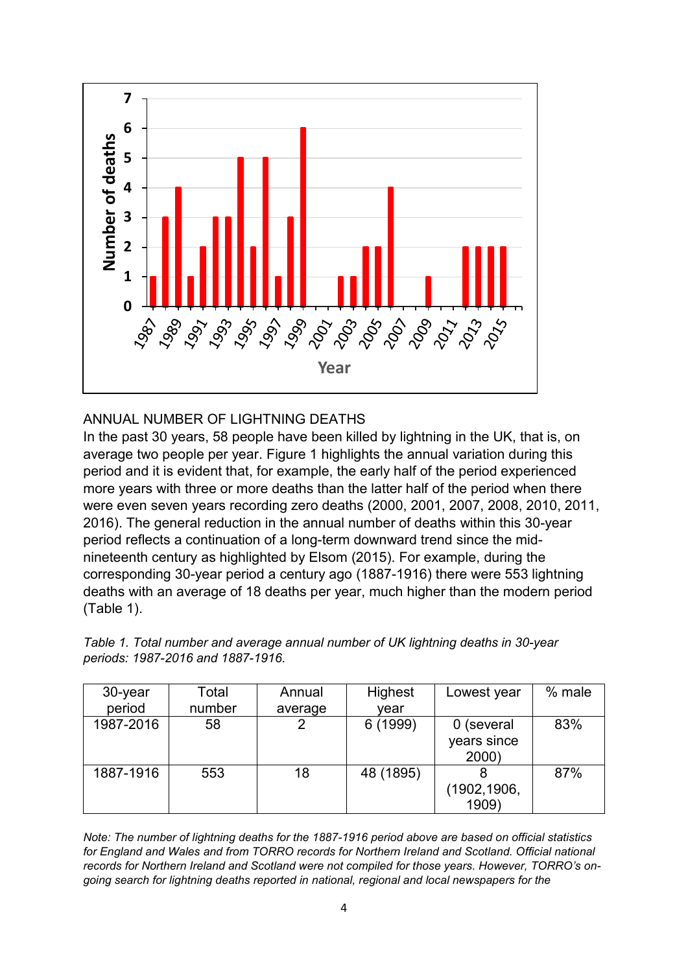

ANNUAL NUMBER OF LIGHTNING DEATHS

In the past 30 years, 58 people have been killed by lightning in the UK, that is, on average two people per year. Figure 1 highlights the annual variation during this period and it is evident that, for example, the early half of the period experienced more years with three or more deaths than the latter half of the period when there were even seven years recording zero deaths (2000, 2001, 2007, 2008, 2010, 2011, 2016). The general reduction in the annual number of deaths within this 30-year period reflects a continuation of a long-term downward trend since the midnineteenth century as highlighted by Elsom (2015). For example, during the corresponding 30-year period a century ago (1887-1916) there were 553 lightning deaths with an average of 18 deaths per year, much higher than the modern period (Table 1).

| Table 1. Total number and average annual number of UK lightning deaths in 30-year |  |  |  |
|-----------------------------------------------------------------------------------|--|--|--|
| periods: 1987-2016 and 1887-1916.                                                 |  |  |  |

| 30-year   | Total  | Annual  | Highest   | Lowest year | $%$ male |
|-----------|--------|---------|-----------|-------------|----------|
| period    | number | average | vear      |             |          |
| 1987-2016 | 58     |         | 6 (1999)  | 0 (several  | 83%      |
|           |        |         |           | years since |          |
|           |        |         |           | 2000)       |          |
| 1887-1916 | 553    | 18      | 48 (1895) |             | 87%      |
|           |        |         |           | (1902,1906, |          |
|           |        |         |           | 1909)       |          |

*Note: The number of lightning deaths for the 1887-1916 period above are based on official statistics for England and Wales and from TORRO records for Northern Ireland and Scotland. Official national records for Northern Ireland and Scotland were not compiled for those years. However, TORRO's ongoing search for lightning deaths reported in national, regional and local newspapers for the*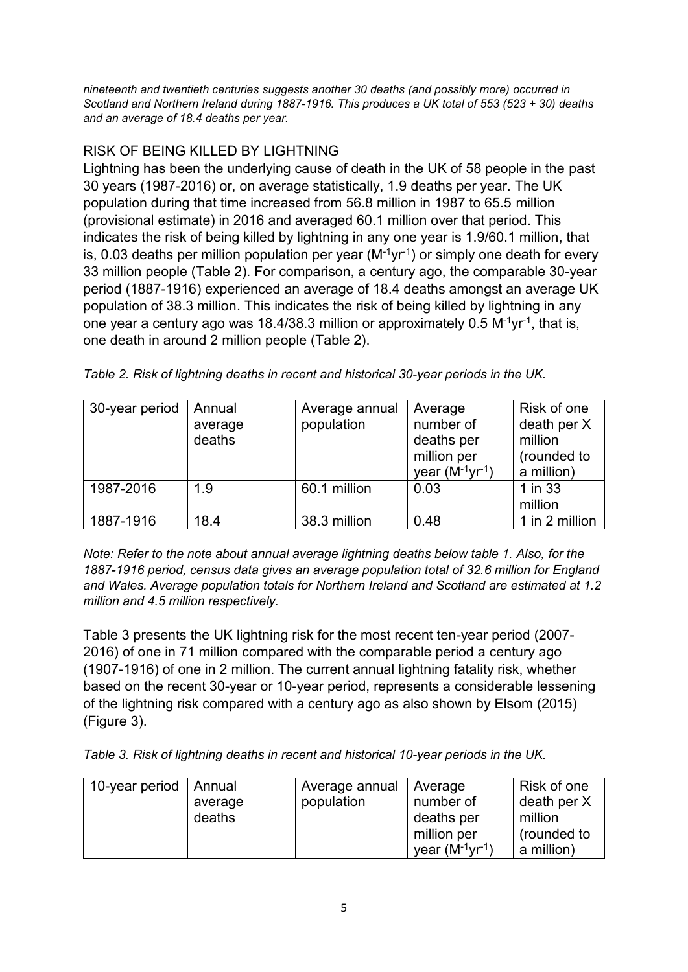*nineteenth and twentieth centuries suggests another 30 deaths (and possibly more) occurred in Scotland and Northern Ireland during 1887-1916. This produces a UK total of 553 (523 + 30) deaths and an average of 18.4 deaths per year.*

## RISK OF BEING KILLED BY LIGHTNING

Lightning has been the underlying cause of death in the UK of 58 people in the past 30 years (1987-2016) or, on average statistically, 1.9 deaths per year. The UK population during that time increased from 56.8 million in 1987 to 65.5 million (provisional estimate) in 2016 and averaged 60.1 million over that period. This indicates the risk of being killed by lightning in any one year is 1.9/60.1 million, that is, 0.03 deaths per million population per year (M-1yr-1 ) or simply one death for every 33 million people (Table 2). For comparison, a century ago, the comparable 30-year period (1887-1916) experienced an average of 18.4 deaths amongst an average UK population of 38.3 million. This indicates the risk of being killed by lightning in any one year a century ago was 18.4/38.3 million or approximately 0.5  $M^{-1}yr^{-1}$ , that is, one death in around 2 million people (Table 2).

| 30-year period | Annual<br>average<br>deaths | Average annual<br>population | Average<br>number of<br>deaths per<br>million per<br>year $(M^{-1}yr^{-1})$ | Risk of one<br>death per X<br>million<br>(rounded to<br>a million) |
|----------------|-----------------------------|------------------------------|-----------------------------------------------------------------------------|--------------------------------------------------------------------|
| 1987-2016      | 1.9                         | 60.1 million                 | 0.03                                                                        | 1 in 33<br>million                                                 |
| 1887-1916      | 18.4                        | 38.3 million                 | 0.48                                                                        | 1 in 2 million                                                     |

| Table 2. Risk of lightning deaths in recent and historical 30-year periods in the UK. |  |
|---------------------------------------------------------------------------------------|--|
|---------------------------------------------------------------------------------------|--|

*Note: Refer to the note about annual average lightning deaths below table 1. Also, for the 1887-1916 period, census data gives an average population total of 32.6 million for England and Wales. Average population totals for Northern Ireland and Scotland are estimated at 1.2 million and 4.5 million respectively.*

Table 3 presents the UK lightning risk for the most recent ten-year period (2007- 2016) of one in 71 million compared with the comparable period a century ago (1907-1916) of one in 2 million. The current annual lightning fatality risk, whether based on the recent 30-year or 10-year period, represents a considerable lessening of the lightning risk compared with a century ago as also shown by Elsom (2015) (Figure 3).

*Table 3. Risk of lightning deaths in recent and historical 10-year periods in the UK.*

| 10-year period | ∣ Annual<br>average<br>deaths | Average annual<br>population | Average<br>number of<br>deaths per | Risk of one<br>death per X<br>million |
|----------------|-------------------------------|------------------------------|------------------------------------|---------------------------------------|
|                |                               |                              | million per                        | (rounded to                           |
|                |                               |                              | vear $(M^{-1}vr^{-1})$             | a million)                            |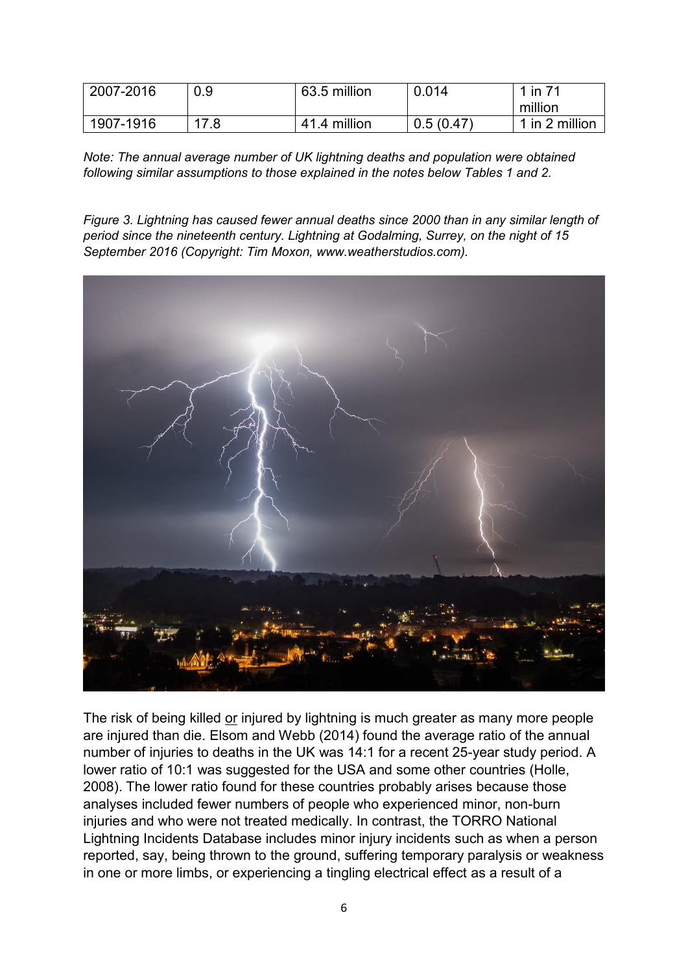| 2007-2016 | 0.9  | 63.5 million | 0.014     | -74<br><i>in</i> |
|-----------|------|--------------|-----------|------------------|
|           |      |              |           | million          |
| 1907-1916 | 17.8 | 41.4 million | 0.5(0.47) | 1 in 2 million   |

*Note: The annual average number of UK lightning deaths and population were obtained following similar assumptions to those explained in the notes below Tables 1 and 2.*

*Figure 3. Lightning has caused fewer annual deaths since 2000 than in any similar length of period since the nineteenth century. Lightning at Godalming, Surrey, on the night of 15 September 2016 (Copyright: Tim Moxon, [www.weatherstudios.com\)](http://www.weatherstudios.com/).*



The risk of being killed or injured by lightning is much greater as many more people are injured than die. Elsom and Webb (2014) found the average ratio of the annual number of injuries to deaths in the UK was 14:1 for a recent 25-year study period. A lower ratio of 10:1 was suggested for the USA and some other countries (Holle, 2008). The lower ratio found for these countries probably arises because those analyses included fewer numbers of people who experienced minor, non-burn injuries and who were not treated medically. In contrast, the TORRO National Lightning Incidents Database includes minor injury incidents such as when a person reported, say, being thrown to the ground, suffering temporary paralysis or weakness in one or more limbs, or experiencing a tingling electrical effect as a result of a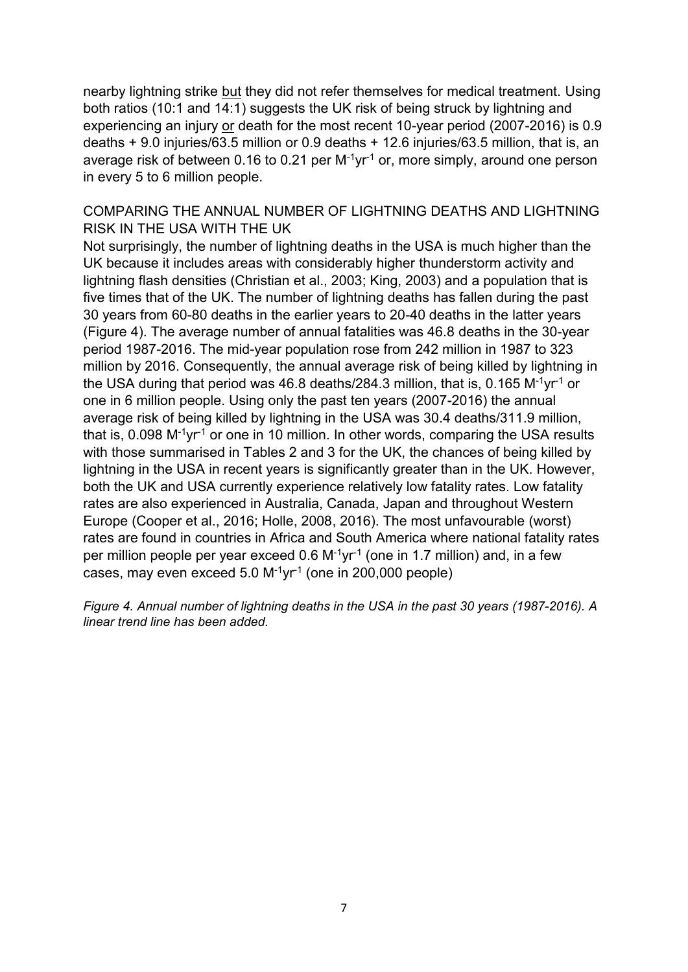nearby lightning strike but they did not refer themselves for medical treatment. Using both ratios (10:1 and 14:1) suggests the UK risk of being struck by lightning and experiencing an injury or death for the most recent 10-year period (2007-2016) is 0.9 deaths + 9.0 injuries/63.5 million or 0.9 deaths + 12.6 injuries/63.5 million, that is, an average risk of between 0.16 to 0.21 per  $M^{-1}yr^{-1}$  or, more simply, around one person in every 5 to 6 million people.

### COMPARING THE ANNUAL NUMBER OF LIGHTNING DEATHS AND LIGHTNING RISK IN THE USA WITH THE UK

Not surprisingly, the number of lightning deaths in the USA is much higher than the UK because it includes areas with considerably higher thunderstorm activity and lightning flash densities (Christian et al., 2003; King, 2003) and a population that is five times that of the UK. The number of lightning deaths has fallen during the past 30 years from 60-80 deaths in the earlier years to 20-40 deaths in the latter years (Figure 4). The average number of annual fatalities was 46.8 deaths in the 30-year period 1987-2016. The mid-year population rose from 242 million in 1987 to 323 million by 2016. Consequently, the annual average risk of being killed by lightning in the USA during that period was 46.8 deaths/284.3 million, that is,  $0.165 \text{ M}$ <sup>-1</sup>yr<sup>-1</sup> or one in 6 million people. Using only the past ten years (2007-2016) the annual average risk of being killed by lightning in the USA was 30.4 deaths/311.9 million, that is,  $0.098 \, \text{M}^{-1} \text{yr}^{-1}$  or one in 10 million. In other words, comparing the USA results with those summarised in Tables 2 and 3 for the UK, the chances of being killed by lightning in the USA in recent years is significantly greater than in the UK. However, both the UK and USA currently experience relatively low fatality rates. Low fatality rates are also experienced in Australia, Canada, Japan and throughout Western Europe (Cooper et al., 2016; Holle, 2008, 2016). The most unfavourable (worst) rates are found in countries in Africa and South America where national fatality rates per million people per year exceed 0.6 M<sup>-1</sup>yr<sup>-1</sup> (one in 1.7 million) and, in a few cases, may even exceed 5.0 M-1yr-1 (one in 200,000 people)

*Figure 4. Annual number of lightning deaths in the USA in the past 30 years (1987-2016). A linear trend line has been added.*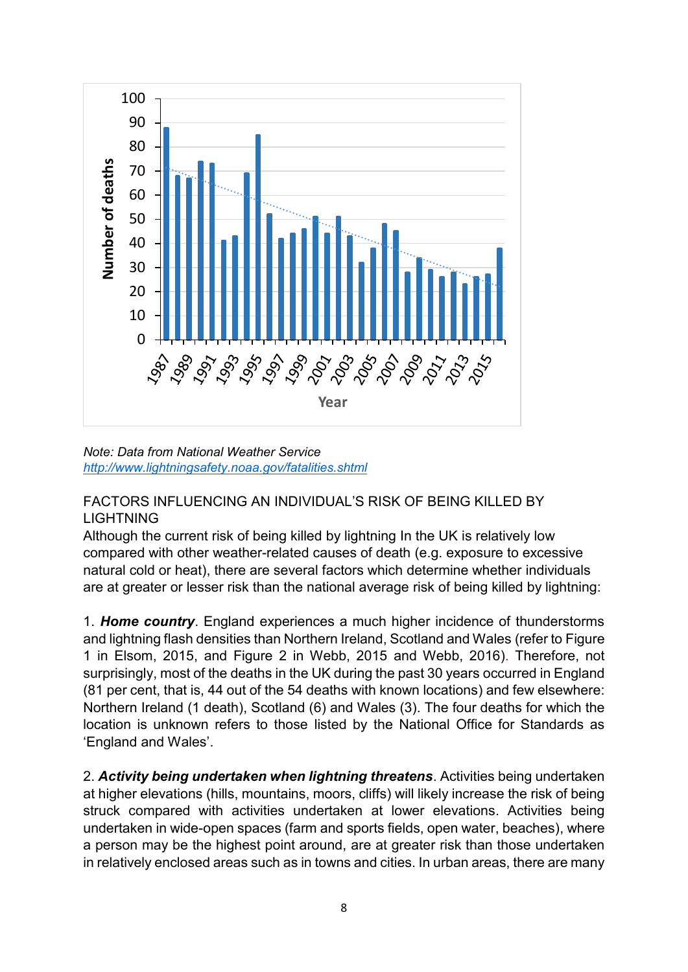

*Note: Data from National Weather Service <http://www.lightningsafety.noaa.gov/fatalities.shtml>*

### FACTORS INFLUENCING AN INDIVIDUAL'S RISK OF BEING KILLED BY **LIGHTNING**

Although the current risk of being killed by lightning In the UK is relatively low compared with other weather-related causes of death (e.g. exposure to excessive natural cold or heat), there are several factors which determine whether individuals are at greater or lesser risk than the national average risk of being killed by lightning:

1. *Home country*. England experiences a much higher incidence of thunderstorms and lightning flash densities than Northern Ireland, Scotland and Wales (refer to Figure 1 in Elsom, 2015, and Figure 2 in Webb, 2015 and Webb, 2016). Therefore, not surprisingly, most of the deaths in the UK during the past 30 years occurred in England (81 per cent, that is, 44 out of the 54 deaths with known locations) and few elsewhere: Northern Ireland (1 death), Scotland (6) and Wales (3). The four deaths for which the location is unknown refers to those listed by the National Office for Standards as 'England and Wales'.

2. *Activity being undertaken when lightning threatens*. Activities being undertaken at higher elevations (hills, mountains, moors, cliffs) will likely increase the risk of being struck compared with activities undertaken at lower elevations. Activities being undertaken in wide-open spaces (farm and sports fields, open water, beaches), where a person may be the highest point around, are at greater risk than those undertaken in relatively enclosed areas such as in towns and cities. In urban areas, there are many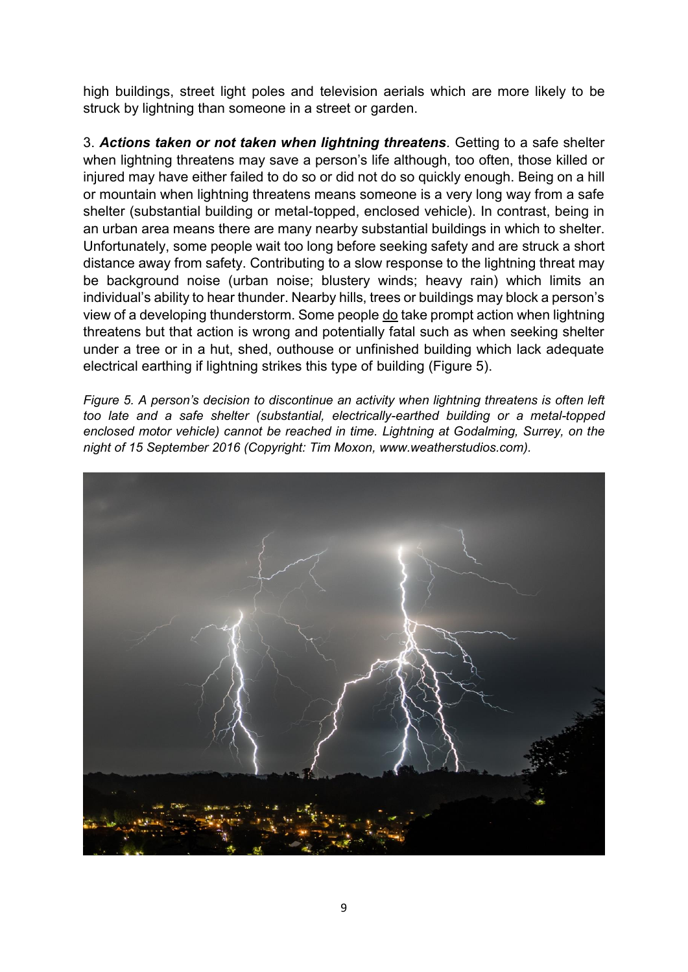high buildings, street light poles and television aerials which are more likely to be struck by lightning than someone in a street or garden.

3. *Actions taken or not taken when lightning threatens.* Getting to a safe shelter when lightning threatens may save a person's life although, too often, those killed or injured may have either failed to do so or did not do so quickly enough. Being on a hill or mountain when lightning threatens means someone is a very long way from a safe shelter (substantial building or metal-topped, enclosed vehicle). In contrast, being in an urban area means there are many nearby substantial buildings in which to shelter. Unfortunately, some people wait too long before seeking safety and are struck a short distance away from safety. Contributing to a slow response to the lightning threat may be background noise (urban noise; blustery winds; heavy rain) which limits an individual's ability to hear thunder. Nearby hills, trees or buildings may block a person's view of a developing thunderstorm. Some people do take prompt action when lightning threatens but that action is wrong and potentially fatal such as when seeking shelter under a tree or in a hut, shed, outhouse or unfinished building which lack adequate electrical earthing if lightning strikes this type of building (Figure 5).

*Figure 5. A person's decision to discontinue an activity when lightning threatens is often left too late and a safe shelter (substantial, electrically-earthed building or a metal-topped enclosed motor vehicle) cannot be reached in time. Lightning at Godalming, Surrey, on the night of 15 September 2016 (Copyright: Tim Moxon, [www.weatherstudios.com\)](http://www.weatherstudios.com/).*

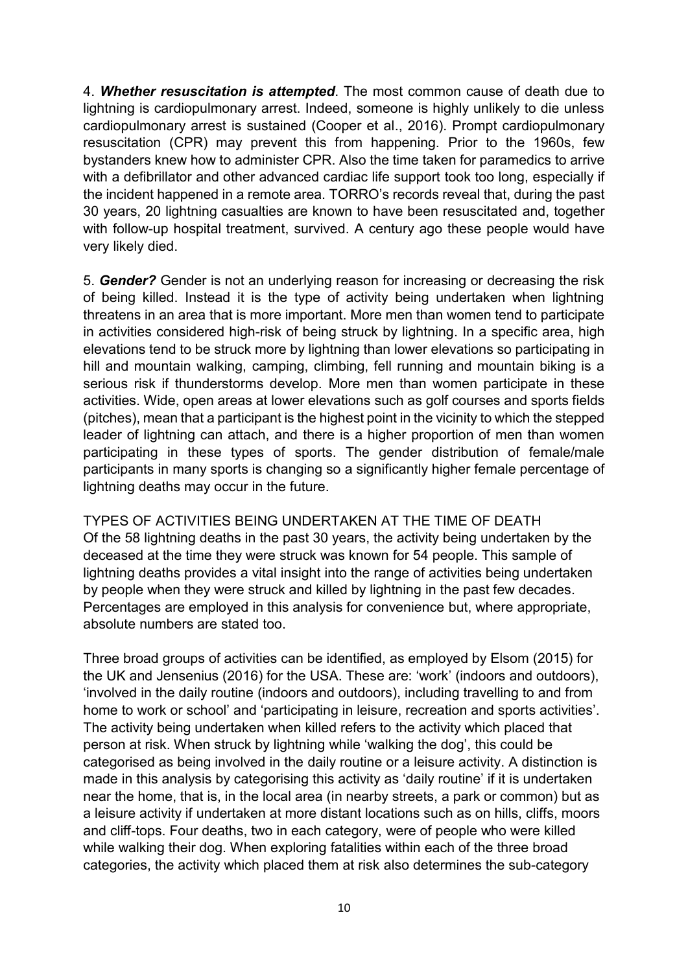4. *Whether resuscitation is attempted*. The most common cause of death due to lightning is cardiopulmonary arrest. Indeed, someone is highly unlikely to die unless cardiopulmonary arrest is sustained (Cooper et al., 2016). Prompt cardiopulmonary resuscitation (CPR) may prevent this from happening. Prior to the 1960s, few bystanders knew how to administer CPR. Also the time taken for paramedics to arrive with a defibrillator and other advanced cardiac life support took too long, especially if the incident happened in a remote area. TORRO's records reveal that, during the past 30 years, 20 lightning casualties are known to have been resuscitated and, together with follow-up hospital treatment, survived. A century ago these people would have very likely died.

5. *Gender?* Gender is not an underlying reason for increasing or decreasing the risk of being killed. Instead it is the type of activity being undertaken when lightning threatens in an area that is more important. More men than women tend to participate in activities considered high-risk of being struck by lightning. In a specific area, high elevations tend to be struck more by lightning than lower elevations so participating in hill and mountain walking, camping, climbing, fell running and mountain biking is a serious risk if thunderstorms develop. More men than women participate in these activities. Wide, open areas at lower elevations such as golf courses and sports fields (pitches), mean that a participant is the highest point in the vicinity to which the stepped leader of lightning can attach, and there is a higher proportion of men than women participating in these types of sports. The gender distribution of female/male participants in many sports is changing so a significantly higher female percentage of lightning deaths may occur in the future.

TYPES OF ACTIVITIES BEING UNDERTAKEN AT THE TIME OF DEATH Of the 58 lightning deaths in the past 30 years, the activity being undertaken by the deceased at the time they were struck was known for 54 people. This sample of lightning deaths provides a vital insight into the range of activities being undertaken by people when they were struck and killed by lightning in the past few decades. Percentages are employed in this analysis for convenience but, where appropriate, absolute numbers are stated too.

Three broad groups of activities can be identified, as employed by Elsom (2015) for the UK and Jensenius (2016) for the USA. These are: 'work' (indoors and outdoors), 'involved in the daily routine (indoors and outdoors), including travelling to and from home to work or school' and 'participating in leisure, recreation and sports activities'. The activity being undertaken when killed refers to the activity which placed that person at risk. When struck by lightning while 'walking the dog', this could be categorised as being involved in the daily routine or a leisure activity. A distinction is made in this analysis by categorising this activity as 'daily routine' if it is undertaken near the home, that is, in the local area (in nearby streets, a park or common) but as a leisure activity if undertaken at more distant locations such as on hills, cliffs, moors and cliff-tops. Four deaths, two in each category, were of people who were killed while walking their dog. When exploring fatalities within each of the three broad categories, the activity which placed them at risk also determines the sub-category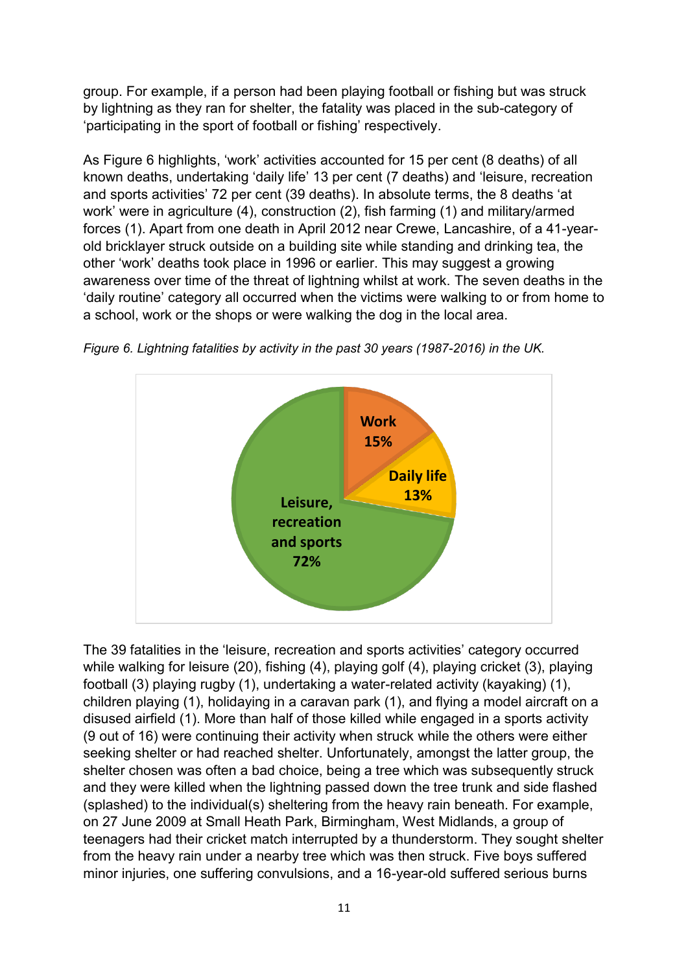group. For example, if a person had been playing football or fishing but was struck by lightning as they ran for shelter, the fatality was placed in the sub-category of 'participating in the sport of football or fishing' respectively.

As Figure 6 highlights, 'work' activities accounted for 15 per cent (8 deaths) of all known deaths, undertaking 'daily life' 13 per cent (7 deaths) and 'leisure, recreation and sports activities' 72 per cent (39 deaths). In absolute terms, the 8 deaths 'at work' were in agriculture (4), construction (2), fish farming (1) and military/armed forces (1). Apart from one death in April 2012 near Crewe, Lancashire, of a 41-yearold bricklayer struck outside on a building site while standing and drinking tea, the other 'work' deaths took place in 1996 or earlier. This may suggest a growing awareness over time of the threat of lightning whilst at work. The seven deaths in the 'daily routine' category all occurred when the victims were walking to or from home to a school, work or the shops or were walking the dog in the local area.



*Figure 6. Lightning fatalities by activity in the past 30 years (1987-2016) in the UK.*

The 39 fatalities in the 'leisure, recreation and sports activities' category occurred while walking for leisure (20), fishing (4), playing golf (4), playing cricket (3), playing football (3) playing rugby (1), undertaking a water-related activity (kayaking) (1), children playing (1), holidaying in a caravan park (1), and flying a model aircraft on a disused airfield (1). More than half of those killed while engaged in a sports activity (9 out of 16) were continuing their activity when struck while the others were either seeking shelter or had reached shelter. Unfortunately, amongst the latter group, the shelter chosen was often a bad choice, being a tree which was subsequently struck and they were killed when the lightning passed down the tree trunk and side flashed (splashed) to the individual(s) sheltering from the heavy rain beneath. For example, on 27 June 2009 at Small Heath Park, Birmingham, West Midlands, a group of teenagers had their cricket match interrupted by a thunderstorm. They sought shelter from the heavy rain under a nearby tree which was then struck. Five boys suffered minor injuries, one suffering convulsions, and a 16-year-old suffered serious burns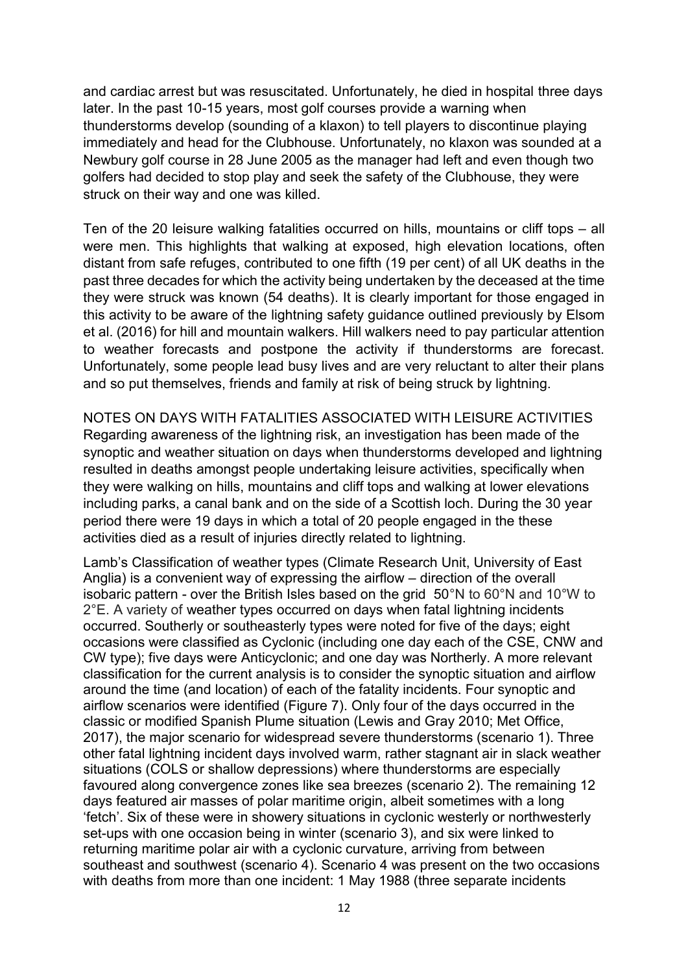and cardiac arrest but was resuscitated. Unfortunately, he died in hospital three days later. In the past 10-15 years, most golf courses provide a warning when thunderstorms develop (sounding of a klaxon) to tell players to discontinue playing immediately and head for the Clubhouse. Unfortunately, no klaxon was sounded at a Newbury golf course in 28 June 2005 as the manager had left and even though two golfers had decided to stop play and seek the safety of the Clubhouse, they were struck on their way and one was killed.

Ten of the 20 leisure walking fatalities occurred on hills, mountains or cliff tops – all were men. This highlights that walking at exposed, high elevation locations, often distant from safe refuges, contributed to one fifth (19 per cent) of all UK deaths in the past three decades for which the activity being undertaken by the deceased at the time they were struck was known (54 deaths). It is clearly important for those engaged in this activity to be aware of the lightning safety guidance outlined previously by Elsom et al. (2016) for hill and mountain walkers. Hill walkers need to pay particular attention to weather forecasts and postpone the activity if thunderstorms are forecast. Unfortunately, some people lead busy lives and are very reluctant to alter their plans and so put themselves, friends and family at risk of being struck by lightning.

NOTES ON DAYS WITH FATALITIES ASSOCIATED WITH LEISURE ACTIVITIES Regarding awareness of the lightning risk, an investigation has been made of the synoptic and weather situation on days when thunderstorms developed and lightning resulted in deaths amongst people undertaking leisure activities, specifically when they were walking on hills, mountains and cliff tops and walking at lower elevations including parks, a canal bank and on the side of a Scottish loch. During the 30 year period there were 19 days in which a total of 20 people engaged in the these activities died as a result of injuries directly related to lightning.

Lamb's Classification of weather types (Climate Research Unit, University of East Anglia) is a convenient way of expressing the airflow – direction of the overall isobaric pattern - over the British Isles based on the grid 50°N to 60°N and 10°W to 2°E. A variety of weather types occurred on days when fatal lightning incidents occurred. Southerly or southeasterly types were noted for five of the days; eight occasions were classified as Cyclonic (including one day each of the CSE, CNW and CW type); five days were Anticyclonic; and one day was Northerly. A more relevant classification for the current analysis is to consider the synoptic situation and airflow around the time (and location) of each of the fatality incidents. Four synoptic and airflow scenarios were identified (Figure 7). Only four of the days occurred in the classic or modified Spanish Plume situation (Lewis and Gray 2010; Met Office, 2017), the major scenario for widespread severe thunderstorms (scenario 1). Three other fatal lightning incident days involved warm, rather stagnant air in slack weather situations (COLS or shallow depressions) where thunderstorms are especially favoured along convergence zones like sea breezes (scenario 2). The remaining 12 days featured air masses of polar maritime origin, albeit sometimes with a long 'fetch'. Six of these were in showery situations in cyclonic westerly or northwesterly set-ups with one occasion being in winter (scenario 3), and six were linked to returning maritime polar air with a cyclonic curvature, arriving from between southeast and southwest (scenario 4). Scenario 4 was present on the two occasions with deaths from more than one incident: 1 May 1988 (three separate incidents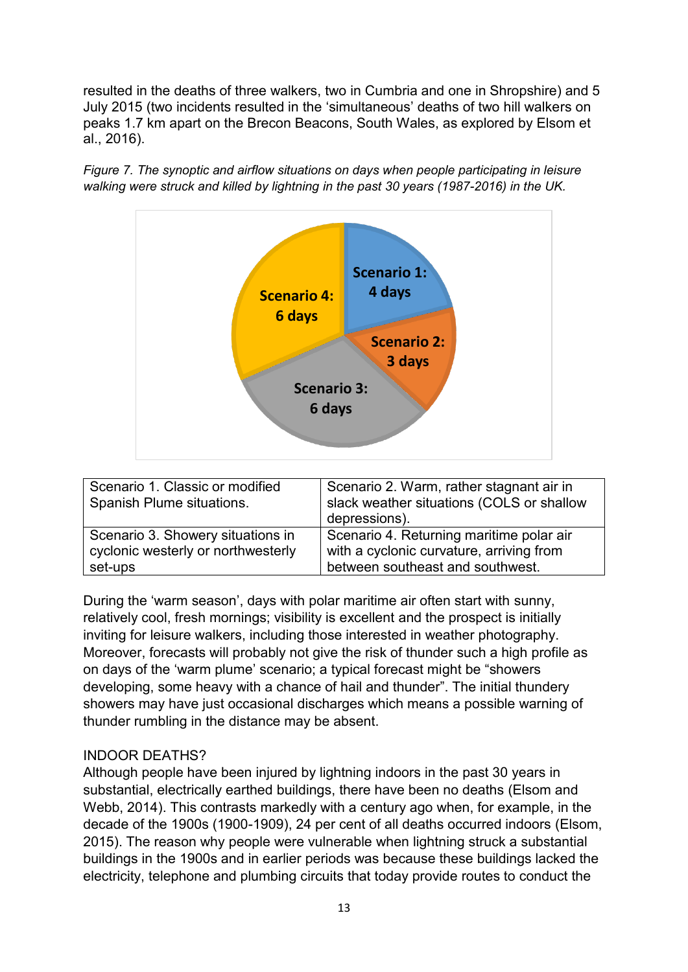resulted in the deaths of three walkers, two in Cumbria and one in Shropshire) and 5 July 2015 (two incidents resulted in the 'simultaneous' deaths of two hill walkers on peaks 1.7 km apart on the Brecon Beacons, South Wales, as explored by Elsom et al., 2016).

*Figure 7. The synoptic and airflow situations on days when people participating in leisure walking were struck and killed by lightning in the past 30 years (1987-2016) in the UK.*



| Scenario 1. Classic or modified<br>Spanish Plume situations. | Scenario 2. Warm, rather stagnant air in<br>slack weather situations (COLS or shallow<br>depressions). |
|--------------------------------------------------------------|--------------------------------------------------------------------------------------------------------|
| Scenario 3. Showery situations in                            | Scenario 4. Returning maritime polar air                                                               |
| cyclonic westerly or northwesterly                           | with a cyclonic curvature, arriving from                                                               |
| set-ups                                                      | between southeast and southwest.                                                                       |

During the 'warm season', days with polar maritime air often start with sunny, relatively cool, fresh mornings; visibility is excellent and the prospect is initially inviting for leisure walkers, including those interested in weather photography. Moreover, forecasts will probably not give the risk of thunder such a high profile as on days of the 'warm plume' scenario; a typical forecast might be "showers developing, some heavy with a chance of hail and thunder". The initial thundery showers may have just occasional discharges which means a possible warning of thunder rumbling in the distance may be absent.

## INDOOR DEATHS?

Although people have been injured by lightning indoors in the past 30 years in substantial, electrically earthed buildings, there have been no deaths (Elsom and Webb, 2014). This contrasts markedly with a century ago when, for example, in the decade of the 1900s (1900-1909), 24 per cent of all deaths occurred indoors (Elsom, 2015). The reason why people were vulnerable when lightning struck a substantial buildings in the 1900s and in earlier periods was because these buildings lacked the electricity, telephone and plumbing circuits that today provide routes to conduct the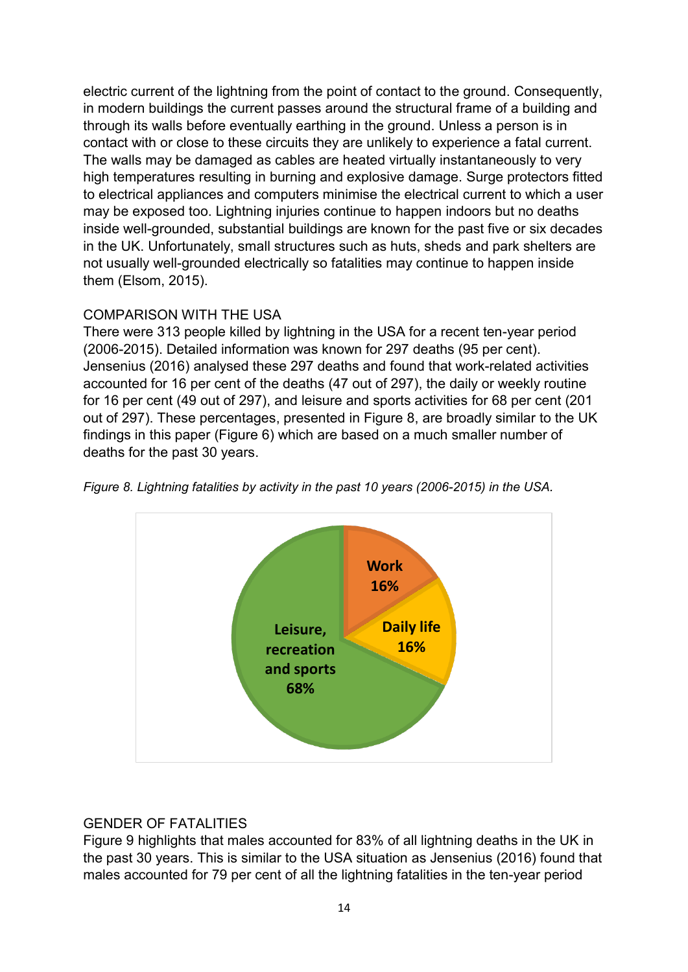electric current of the lightning from the point of contact to the ground. Consequently, in modern buildings the current passes around the structural frame of a building and through its walls before eventually earthing in the ground. Unless a person is in contact with or close to these circuits they are unlikely to experience a fatal current. The walls may be damaged as cables are heated virtually instantaneously to very high temperatures resulting in burning and explosive damage. Surge protectors fitted to electrical appliances and computers minimise the electrical current to which a user may be exposed too. Lightning injuries continue to happen indoors but no deaths inside well-grounded, substantial buildings are known for the past five or six decades in the UK. Unfortunately, small structures such as huts, sheds and park shelters are not usually well-grounded electrically so fatalities may continue to happen inside them (Elsom, 2015).

## COMPARISON WITH THE USA

There were 313 people killed by lightning in the USA for a recent ten-year period (2006-2015). Detailed information was known for 297 deaths (95 per cent). Jensenius (2016) analysed these 297 deaths and found that work-related activities accounted for 16 per cent of the deaths (47 out of 297), the daily or weekly routine for 16 per cent (49 out of 297), and leisure and sports activities for 68 per cent (201 out of 297). These percentages, presented in Figure 8, are broadly similar to the UK findings in this paper (Figure 6) which are based on a much smaller number of deaths for the past 30 years.





# GENDER OF FATALITIES

Figure 9 highlights that males accounted for 83% of all lightning deaths in the UK in the past 30 years. This is similar to the USA situation as Jensenius (2016) found that males accounted for 79 per cent of all the lightning fatalities in the ten-year period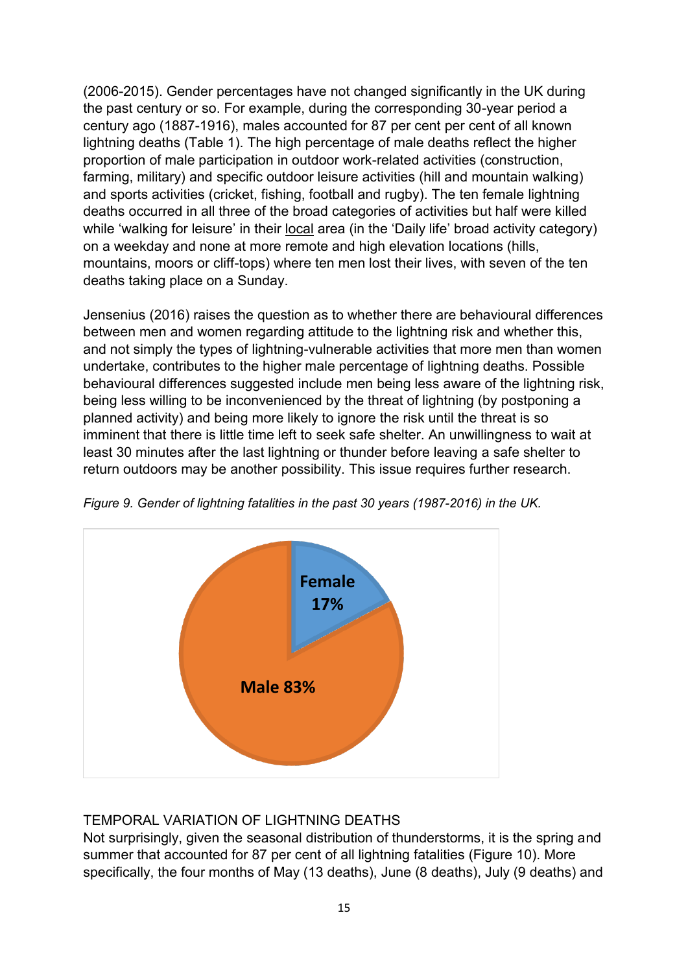(2006-2015). Gender percentages have not changed significantly in the UK during the past century or so. For example, during the corresponding 30-year period a century ago (1887-1916), males accounted for 87 per cent per cent of all known lightning deaths (Table 1). The high percentage of male deaths reflect the higher proportion of male participation in outdoor work-related activities (construction, farming, military) and specific outdoor leisure activities (hill and mountain walking) and sports activities (cricket, fishing, football and rugby). The ten female lightning deaths occurred in all three of the broad categories of activities but half were killed while 'walking for leisure' in their local area (in the 'Daily life' broad activity category) on a weekday and none at more remote and high elevation locations (hills, mountains, moors or cliff-tops) where ten men lost their lives, with seven of the ten deaths taking place on a Sunday.

Jensenius (2016) raises the question as to whether there are behavioural differences between men and women regarding attitude to the lightning risk and whether this, and not simply the types of lightning-vulnerable activities that more men than women undertake, contributes to the higher male percentage of lightning deaths. Possible behavioural differences suggested include men being less aware of the lightning risk, being less willing to be inconvenienced by the threat of lightning (by postponing a planned activity) and being more likely to ignore the risk until the threat is so imminent that there is little time left to seek safe shelter. An unwillingness to wait at least 30 minutes after the last lightning or thunder before leaving a safe shelter to return outdoors may be another possibility. This issue requires further research.



*Figure 9. Gender of lightning fatalities in the past 30 years (1987-2016) in the UK.*

## TEMPORAL VARIATION OF LIGHTNING DEATHS

Not surprisingly, given the seasonal distribution of thunderstorms, it is the spring and summer that accounted for 87 per cent of all lightning fatalities (Figure 10). More specifically, the four months of May (13 deaths), June (8 deaths), July (9 deaths) and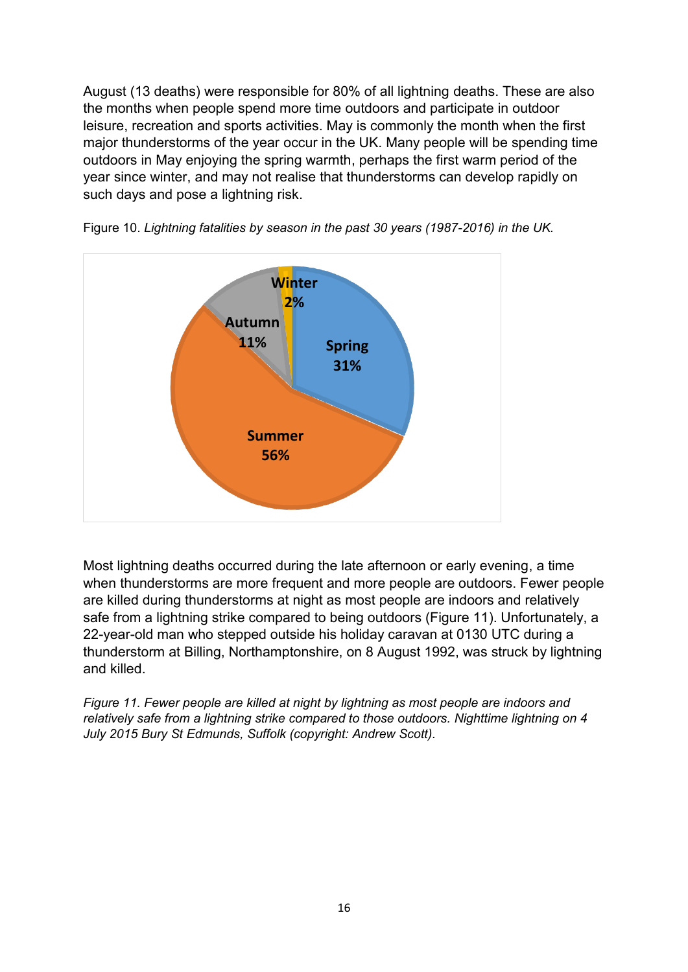August (13 deaths) were responsible for 80% of all lightning deaths. These are also the months when people spend more time outdoors and participate in outdoor leisure, recreation and sports activities. May is commonly the month when the first major thunderstorms of the year occur in the UK. Many people will be spending time outdoors in May enjoying the spring warmth, perhaps the first warm period of the year since winter, and may not realise that thunderstorms can develop rapidly on such days and pose a lightning risk.





Most lightning deaths occurred during the late afternoon or early evening, a time when thunderstorms are more frequent and more people are outdoors. Fewer people are killed during thunderstorms at night as most people are indoors and relatively safe from a lightning strike compared to being outdoors (Figure 11). Unfortunately, a 22-year-old man who stepped outside his holiday caravan at 0130 UTC during a thunderstorm at Billing, Northamptonshire, on 8 August 1992, was struck by lightning and killed.

*Figure 11. Fewer people are killed at night by lightning as most people are indoors and relatively safe from a lightning strike compared to those outdoors. Nighttime lightning on 4 July 2015 Bury St Edmunds, Suffolk (copyright: Andrew Scott).*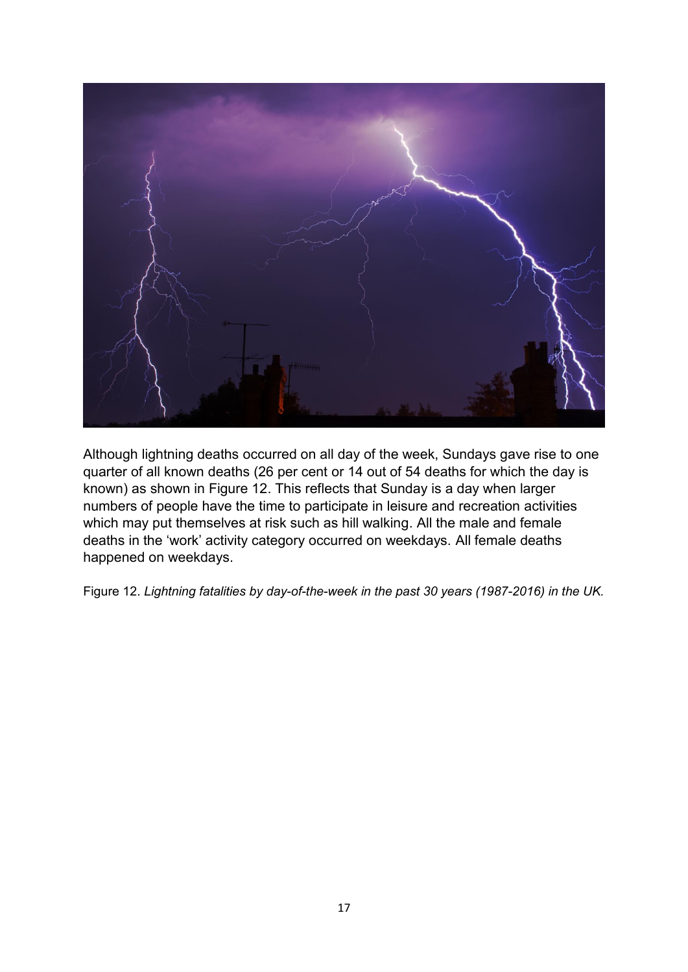

Although lightning deaths occurred on all day of the week, Sundays gave rise to one quarter of all known deaths (26 per cent or 14 out of 54 deaths for which the day is known) as shown in Figure 12. This reflects that Sunday is a day when larger numbers of people have the time to participate in leisure and recreation activities which may put themselves at risk such as hill walking. All the male and female deaths in the 'work' activity category occurred on weekdays. All female deaths happened on weekdays.

Figure 12. *Lightning fatalities by day-of-the-week in the past 30 years (1987-2016) in the UK.*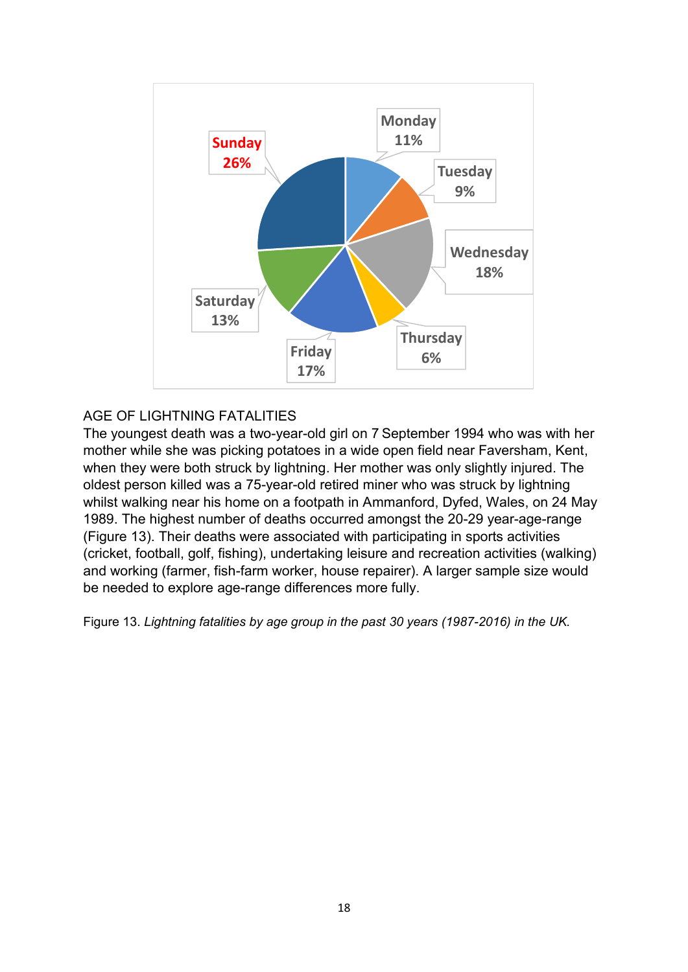

## AGE OF LIGHTNING FATALITIES

The youngest death was a two-year-old girl on 7 September 1994 who was with her mother while she was picking potatoes in a wide open field near Faversham, Kent, when they were both struck by lightning. Her mother was only slightly injured. The oldest person killed was a 75-year-old retired miner who was struck by lightning whilst walking near his home on a footpath in Ammanford, Dyfed, Wales, on 24 May 1989. The highest number of deaths occurred amongst the 20-29 year-age-range (Figure 13). Their deaths were associated with participating in sports activities (cricket, football, golf, fishing), undertaking leisure and recreation activities (walking) and working (farmer, fish-farm worker, house repairer). A larger sample size would be needed to explore age-range differences more fully.

Figure 13. *Lightning fatalities by age group in the past 30 years (1987-2016) in the UK.*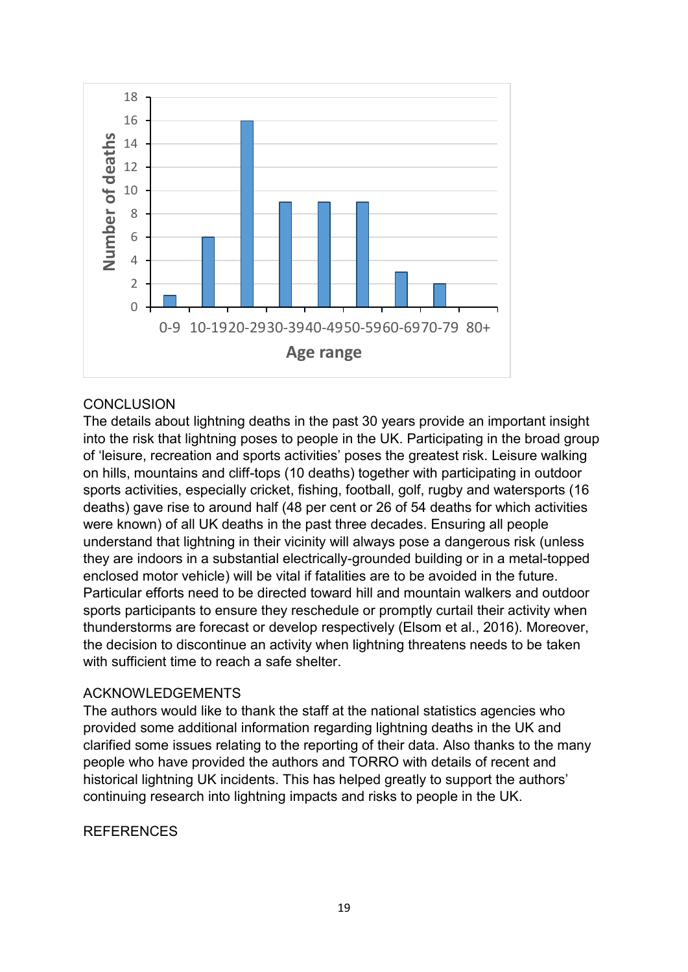

## **CONCLUSION**

The details about lightning deaths in the past 30 years provide an important insight into the risk that lightning poses to people in the UK. Participating in the broad group of 'leisure, recreation and sports activities' poses the greatest risk. Leisure walking on hills, mountains and cliff-tops (10 deaths) together with participating in outdoor sports activities, especially cricket, fishing, football, golf, rugby and watersports (16 deaths) gave rise to around half (48 per cent or 26 of 54 deaths for which activities were known) of all UK deaths in the past three decades. Ensuring all people understand that lightning in their vicinity will always pose a dangerous risk (unless they are indoors in a substantial electrically-grounded building or in a metal-topped enclosed motor vehicle) will be vital if fatalities are to be avoided in the future. Particular efforts need to be directed toward hill and mountain walkers and outdoor sports participants to ensure they reschedule or promptly curtail their activity when thunderstorms are forecast or develop respectively (Elsom et al., 2016). Moreover, the decision to discontinue an activity when lightning threatens needs to be taken with sufficient time to reach a safe shelter.

#### ACKNOWLEDGEMENTS

The authors would like to thank the staff at the national statistics agencies who provided some additional information regarding lightning deaths in the UK and clarified some issues relating to the reporting of their data. Also thanks to the many people who have provided the authors and TORRO with details of recent and historical lightning UK incidents. This has helped greatly to support the authors' continuing research into lightning impacts and risks to people in the UK.

#### **REFERENCES**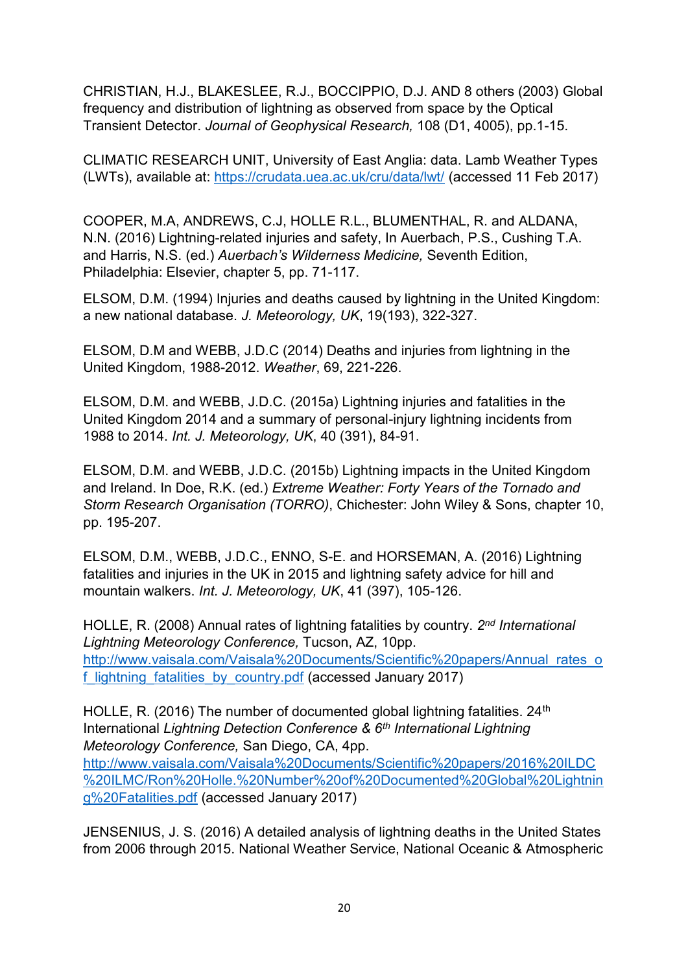CHRISTIAN, H.J., BLAKESLEE, R.J., BOCCIPPIO, D.J. AND 8 others (2003) Global frequency and distribution of lightning as observed from space by the Optical Transient Detector. *Journal of Geophysical Research,* 108 (D1, 4005), pp.1-15.

CLIMATIC RESEARCH UNIT, University of East Anglia: data. Lamb Weather Types (LWTs), available at:<https://crudata.uea.ac.uk/cru/data/lwt/> (accessed 11 Feb 2017)

COOPER, M.A, ANDREWS, C.J, HOLLE R.L., BLUMENTHAL, R. and ALDANA, N.N. (2016) Lightning-related injuries and safety, In Auerbach, P.S., Cushing T.A. and Harris, N.S. (ed.) *Auerbach's Wilderness Medicine,* Seventh Edition, Philadelphia: Elsevier, chapter 5, pp. 71-117.

ELSOM, D.M. (1994) Injuries and deaths caused by lightning in the United Kingdom: a new national database. *J. Meteorology, UK*, 19(193), 322-327.

ELSOM, D.M and WEBB, J.D.C (2014) Deaths and injuries from lightning in the United Kingdom, 1988-2012. *Weather*, 69, 221-226.

ELSOM, D.M. and WEBB, J.D.C. (2015a) Lightning injuries and fatalities in the United Kingdom 2014 and a summary of personal-injury lightning incidents from 1988 to 2014. *Int. J. Meteorology, UK*, 40 (391), 84-91.

ELSOM, D.M. and WEBB, J.D.C. (2015b) Lightning impacts in the United Kingdom and Ireland. In Doe, R.K. (ed.) *Extreme Weather: Forty Years of the Tornado and Storm Research Organisation (TORRO)*, Chichester: John Wiley & Sons, chapter 10, pp. 195-207.

ELSOM, D.M., WEBB, J.D.C., ENNO, S-E. and HORSEMAN, A. (2016) Lightning fatalities and injuries in the UK in 2015 and lightning safety advice for hill and mountain walkers. *Int. J. Meteorology, UK*, 41 (397), 105-126.

HOLLE, R. (2008) Annual rates of lightning fatalities by country. *2 nd International Lightning Meteorology Conference,* Tucson, AZ, 10pp. [http://www.vaisala.com/Vaisala%20Documents/Scientific%20papers/Annual\\_rates\\_o](http://www.vaisala.com/Vaisala%20Documents/Scientific%20papers/Annual_rates_of_lightning_fatalities_by_country.pdf) f lightning fatalities by country.pdf (accessed January 2017)

HOLLE, R. (2016) The number of documented global lightning fatalities.  $24<sup>th</sup>$ International *Lightning Detection Conference & 6th International Lightning Meteorology Conference,* San Diego, CA, 4pp. [http://www.vaisala.com/Vaisala%20Documents/Scientific%20papers/2016%20ILDC](http://www.vaisala.com/Vaisala%20Documents/Scientific%20papers/2016%20ILDC%20ILMC/Ron%20Holle.%20Number%20of%20Documented%20Global%20Lightning%20Fatalities.pdf) [%20ILMC/Ron%20Holle.%20Number%20of%20Documented%20Global%20Lightnin](http://www.vaisala.com/Vaisala%20Documents/Scientific%20papers/2016%20ILDC%20ILMC/Ron%20Holle.%20Number%20of%20Documented%20Global%20Lightning%20Fatalities.pdf) [g%20Fatalities.pdf](http://www.vaisala.com/Vaisala%20Documents/Scientific%20papers/2016%20ILDC%20ILMC/Ron%20Holle.%20Number%20of%20Documented%20Global%20Lightning%20Fatalities.pdf) (accessed January 2017)

JENSENIUS, J. S. (2016) A detailed analysis of lightning deaths in the United States from 2006 through 2015. National Weather Service, National Oceanic & Atmospheric